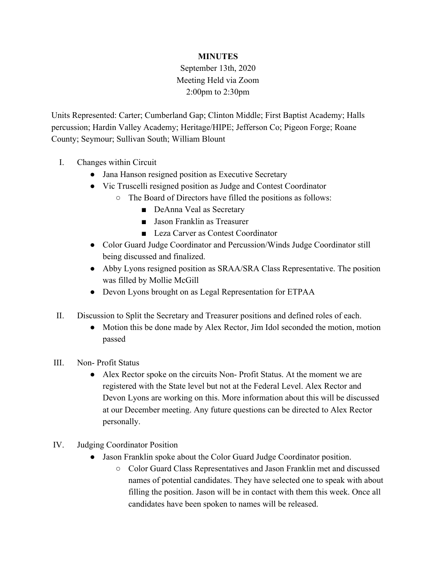## **MINUTES**

## September 13th, 2020 Meeting Held via Zoom 2:00pm to 2:30pm

Units Represented: Carter; Cumberland Gap; Clinton Middle; First Baptist Academy; Halls percussion; Hardin Valley Academy; Heritage/HIPE; Jefferson Co; Pigeon Forge; Roane County; Seymour; Sullivan South; William Blount

- I. Changes within Circuit
	- Jana Hanson resigned position as Executive Secretary
	- Vic Truscelli resigned position as Judge and Contest Coordinator
		- The Board of Directors have filled the positions as follows:
			- DeAnna Veal as Secretary
			- Jason Franklin as Treasurer
			- Leza Carver as Contest Coordinator
	- Color Guard Judge Coordinator and Percussion/Winds Judge Coordinator still being discussed and finalized.
	- Abby Lyons resigned position as SRAA/SRA Class Representative. The position was filled by Mollie McGill
	- Devon Lyons brought on as Legal Representation for ETPAA
- II. Discussion to Split the Secretary and Treasurer positions and defined roles of each.
	- Motion this be done made by Alex Rector, Jim Idol seconded the motion, motion passed
- III. Non- Profit Status
	- Alex Rector spoke on the circuits Non-Profit Status. At the moment we are registered with the State level but not at the Federal Level. Alex Rector and Devon Lyons are working on this. More information about this will be discussed at our December meeting. Any future questions can be directed to Alex Rector personally.
- IV. Judging Coordinator Position
	- Jason Franklin spoke about the Color Guard Judge Coordinator position.
		- Color Guard Class Representatives and Jason Franklin met and discussed names of potential candidates. They have selected one to speak with about filling the position. Jason will be in contact with them this week. Once all candidates have been spoken to names will be released.